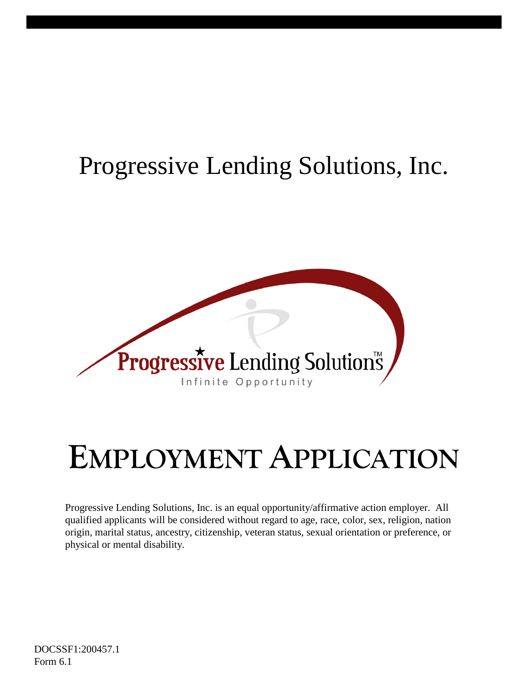## Progressive Lending Solutions, Inc.



# **EMPLOYMENT APPLICATION**

Progressive Lending Solutions, Inc. is an equal opportunity/affirmative action employer. All qualified applicants will be considered without regard to age, race, color, sex, religion, nation origin, marital status, ancestry, citizenship, veteran status, sexual orientation or preference, or physical or mental disability.

DOCSSF1:200457.1 Form 6.1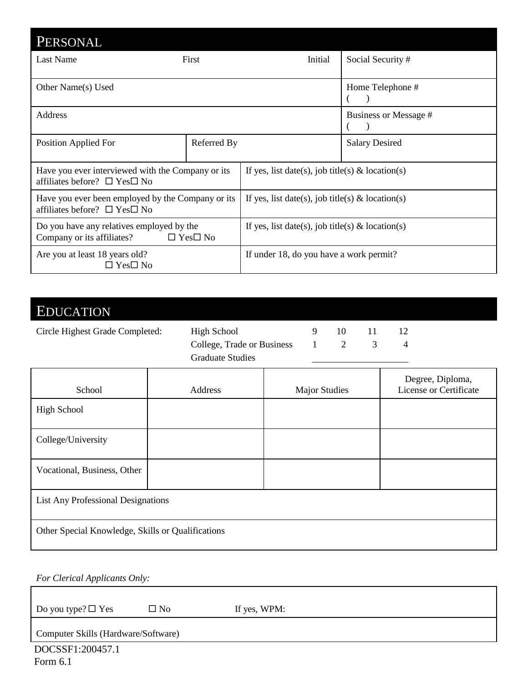| PERSONAL                                                                                        |             |                                                     |                       |  |
|-------------------------------------------------------------------------------------------------|-------------|-----------------------------------------------------|-----------------------|--|
| Last Name                                                                                       | First       | Initial                                             | Social Security#      |  |
| Other Name(s) Used                                                                              |             |                                                     | Home Telephone #      |  |
| Address                                                                                         |             |                                                     | Business or Message # |  |
| Position Applied For                                                                            | Referred By |                                                     | <b>Salary Desired</b> |  |
| Have you ever interviewed with the Company or its<br>affiliates before? $\Box$ Yes $\Box$ No    |             | If yes, list date(s), job title(s) $\&$ location(s) |                       |  |
| Have you ever been employed by the Company or its<br>affiliates before? $\Box$ Yes $\Box$ No    |             | If yes, list date(s), job title(s) $\&$ location(s) |                       |  |
| Do you have any relatives employed by the<br>$\Box$ Yes $\Box$ No<br>Company or its affiliates? |             | If yes, list date(s), job title(s) $\&$ location(s) |                       |  |
| Are you at least 18 years old?<br>$\Box$ Yes $\Box$ No                                          |             | If under 18, do you have a work permit?             |                       |  |

### EDUCATION

| Circle Highest Grade Completed: | High School                | 10.           | 11. |  |
|---------------------------------|----------------------------|---------------|-----|--|
|                                 | College, Trade or Business | $\frac{1}{2}$ |     |  |
|                                 | <b>Graduate Studies</b>    |               |     |  |

| School                                            | Address | <b>Major Studies</b> | Degree, Diploma,<br>License or Certificate |
|---------------------------------------------------|---------|----------------------|--------------------------------------------|
| <b>High School</b>                                |         |                      |                                            |
| College/University                                |         |                      |                                            |
| Vocational, Business, Other                       |         |                      |                                            |
| <b>List Any Professional Designations</b>         |         |                      |                                            |
| Other Special Knowledge, Skills or Qualifications |         |                      |                                            |

*For Clerical Applicants Only:*

Do you type?  $\Box$  Yes  $\Box$  No If yes, WPM:

Computer Skills (Hardware/Software)

DOCSSF1:200457.1 Form 6.1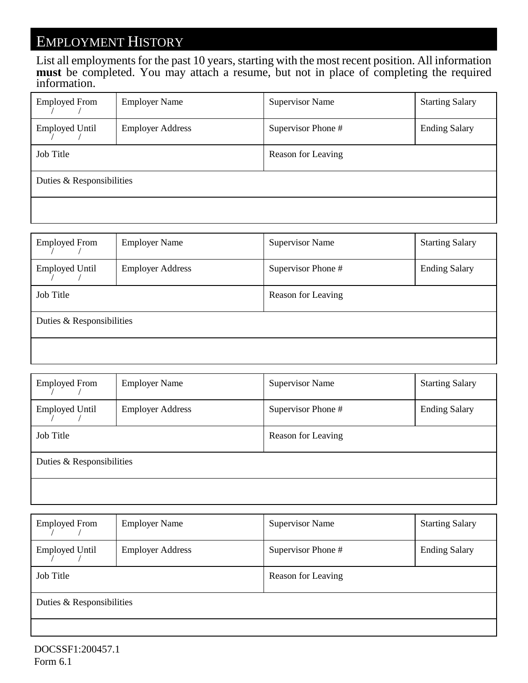#### EMPLOYMENT HISTORY

List all employments for the past 10 years, starting with the most recent position. All information **must** be completed. You may attach a resume, but not in place of completing the required information.

| <b>Employed From</b>      | <b>Employer Name</b>    | <b>Supervisor Name</b> | <b>Starting Salary</b> |  |
|---------------------------|-------------------------|------------------------|------------------------|--|
| <b>Employed Until</b>     | <b>Employer Address</b> | Supervisor Phone #     | <b>Ending Salary</b>   |  |
| Job Title                 |                         | Reason for Leaving     |                        |  |
| Duties & Responsibilities |                         |                        |                        |  |
|                           |                         |                        |                        |  |

| <b>Employed From</b>      | <b>Employer Name</b>    | <b>Supervisor Name</b> | <b>Starting Salary</b> |  |
|---------------------------|-------------------------|------------------------|------------------------|--|
| <b>Employed Until</b>     | <b>Employer Address</b> | Supervisor Phone #     | <b>Ending Salary</b>   |  |
| Job Title                 |                         | Reason for Leaving     |                        |  |
| Duties & Responsibilities |                         |                        |                        |  |
|                           |                         |                        |                        |  |

| <b>Employed From</b>      | <b>Employer Name</b>    | <b>Supervisor Name</b> | <b>Starting Salary</b> |  |
|---------------------------|-------------------------|------------------------|------------------------|--|
| <b>Employed Until</b>     | <b>Employer Address</b> | Supervisor Phone #     | <b>Ending Salary</b>   |  |
| Job Title                 |                         | Reason for Leaving     |                        |  |
| Duties & Responsibilities |                         |                        |                        |  |
|                           |                         |                        |                        |  |

| <b>Employed From</b>      | <b>Employer Name</b>    | <b>Supervisor Name</b> | <b>Starting Salary</b> |  |
|---------------------------|-------------------------|------------------------|------------------------|--|
| <b>Employed Until</b>     | <b>Employer Address</b> | Supervisor Phone #     | <b>Ending Salary</b>   |  |
| Job Title                 |                         | Reason for Leaving     |                        |  |
| Duties & Responsibilities |                         |                        |                        |  |
|                           |                         |                        |                        |  |